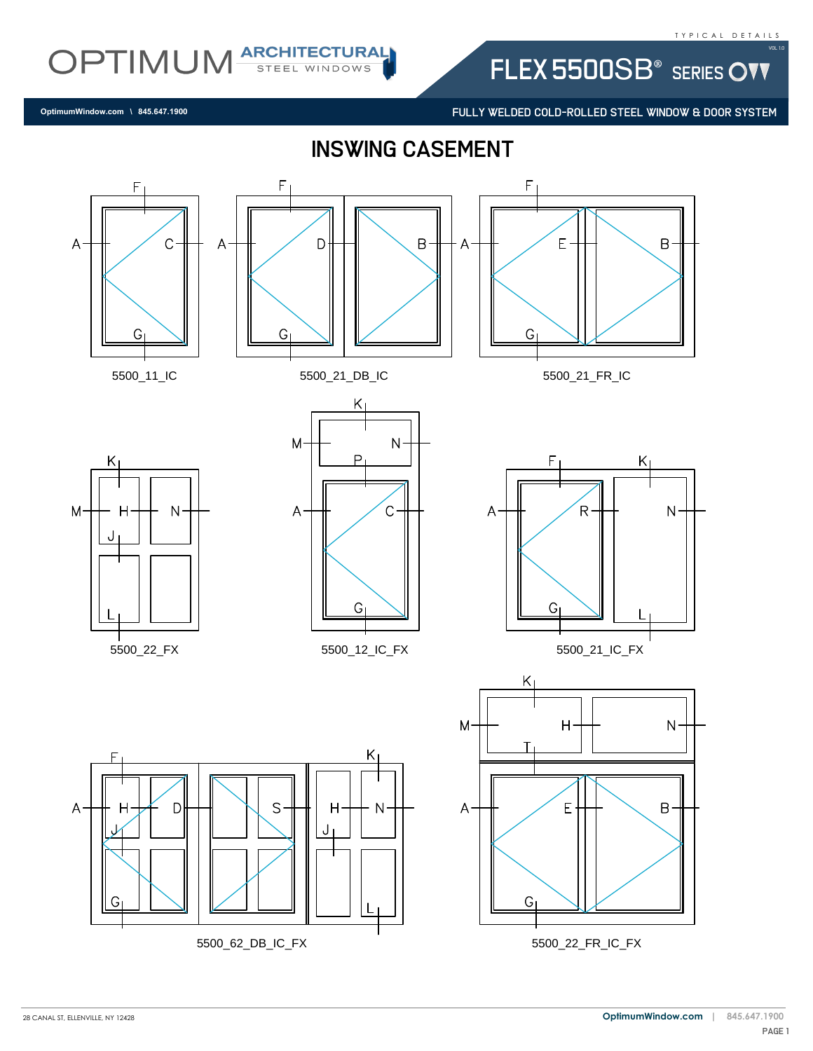FLEX 5500SB<sup>®</sup> SERIES OVV

FULLY WELDED COLD-ROLLED STEEL WINDOW & DOOR SYSTEM

**OptimumWindow.com \ 845.647.1900**

OPTIMUM ARCHITECTURAL

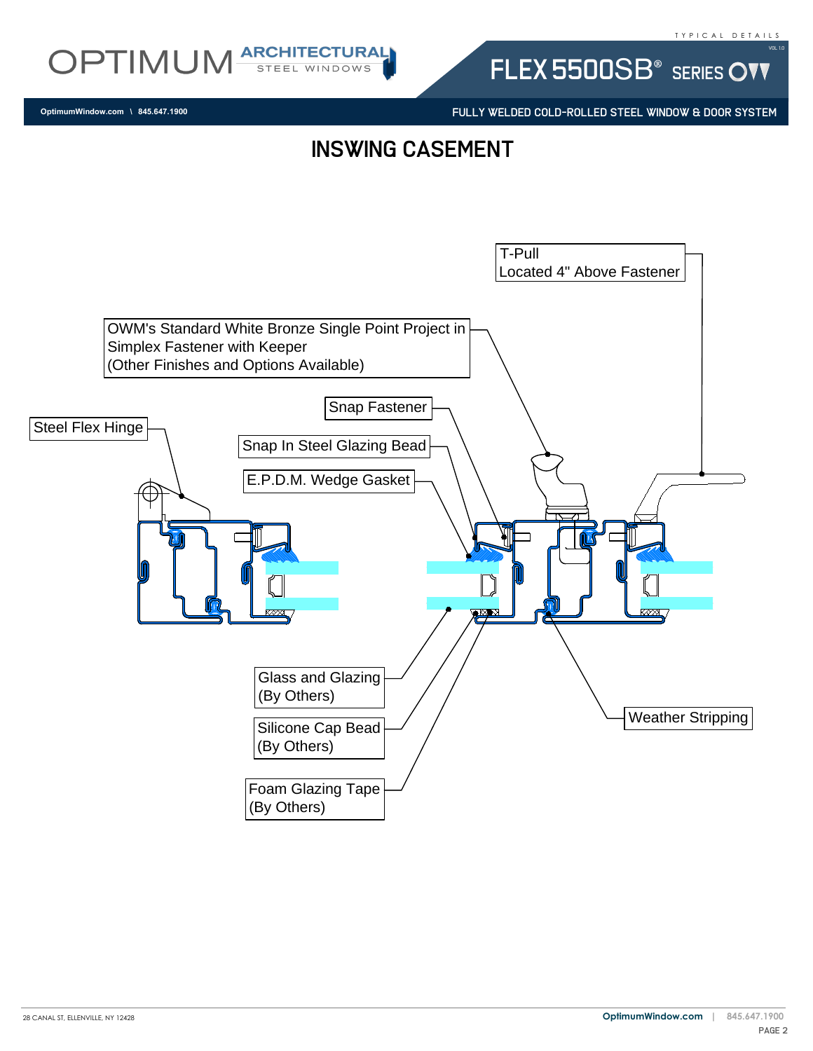



**OptimumWindow.com \ 845.647.1900**

FLEX 5500SB<sup>®</sup> SERIES OVV

FULLY WELDED COLD-ROLLED STEEL WINDOW & DOOR SYSTEM

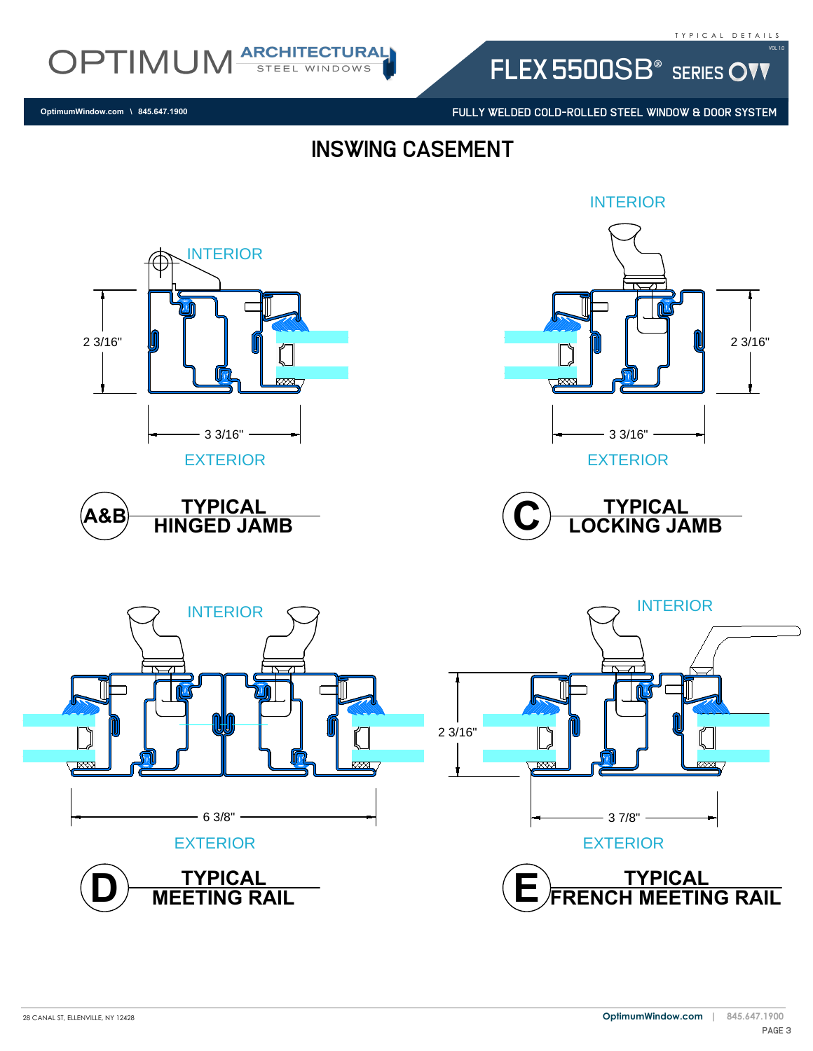FLEX 5500SB<sup>®</sup> SERIES OVV

FULLY WELDED COLD-ROLLED STEEL WINDOW & DOOR SYSTEM

**OptimumWindow.com \ 845.647.1900**

OPTIMUM ARCHITECTURAL

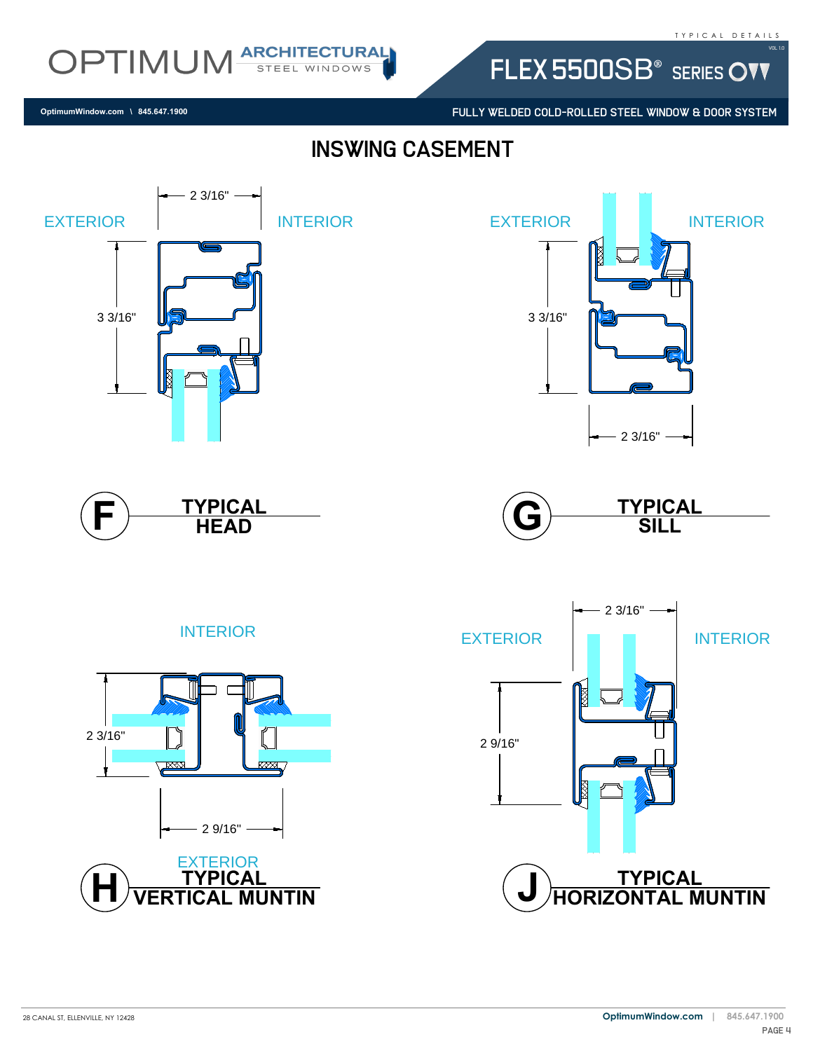FLEX 5500SB<sup>®</sup> SERIES OVV

FULLY WELDED COLD-ROLLED STEEL WINDOW & DOOR SYSTEM

## Inswing casement



28 CANAL ST, ELLENVILLE, NY 12428

**OptimumWindow.com \ 845.647.1900**

OPTIMUM ARCHITECTURAL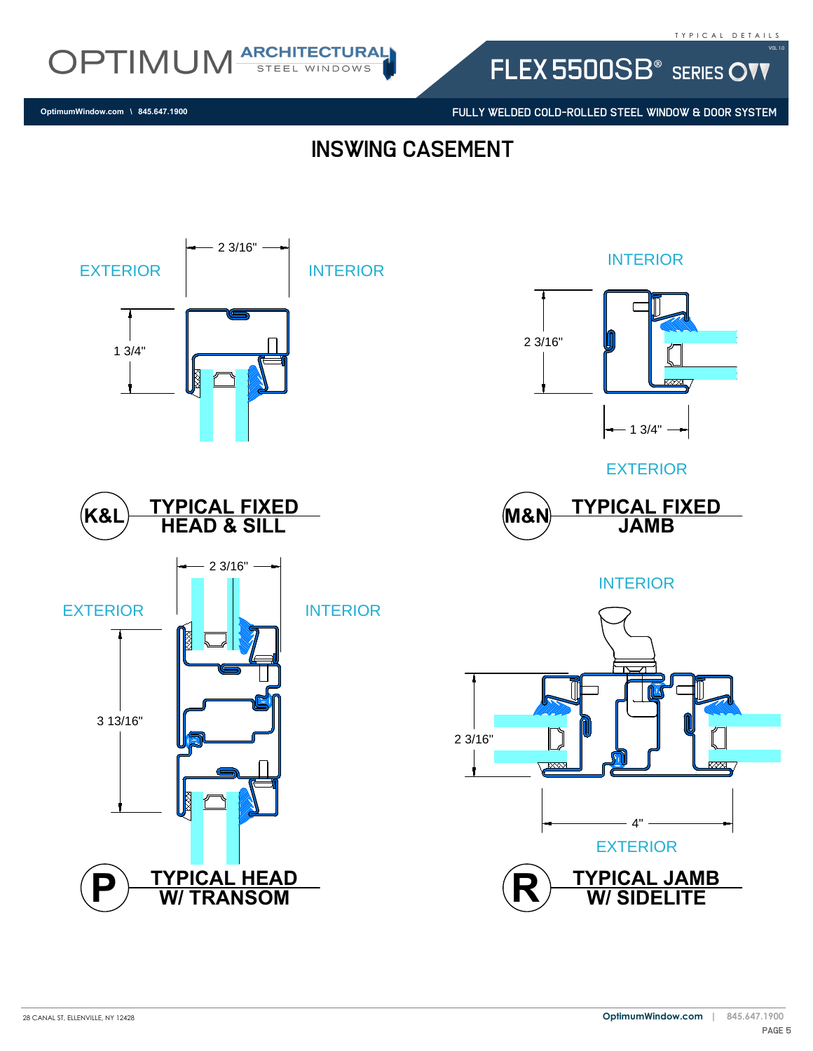OPTIMUM ARCHITECTURAL

FULLY WELDED COLD-ROLLED STEEL WINDOW & DOOR SYSTEM

FLEX 5500SB<sup>®</sup> SERIES OVV

**OptimumWindow.com \ 845.647.1900**

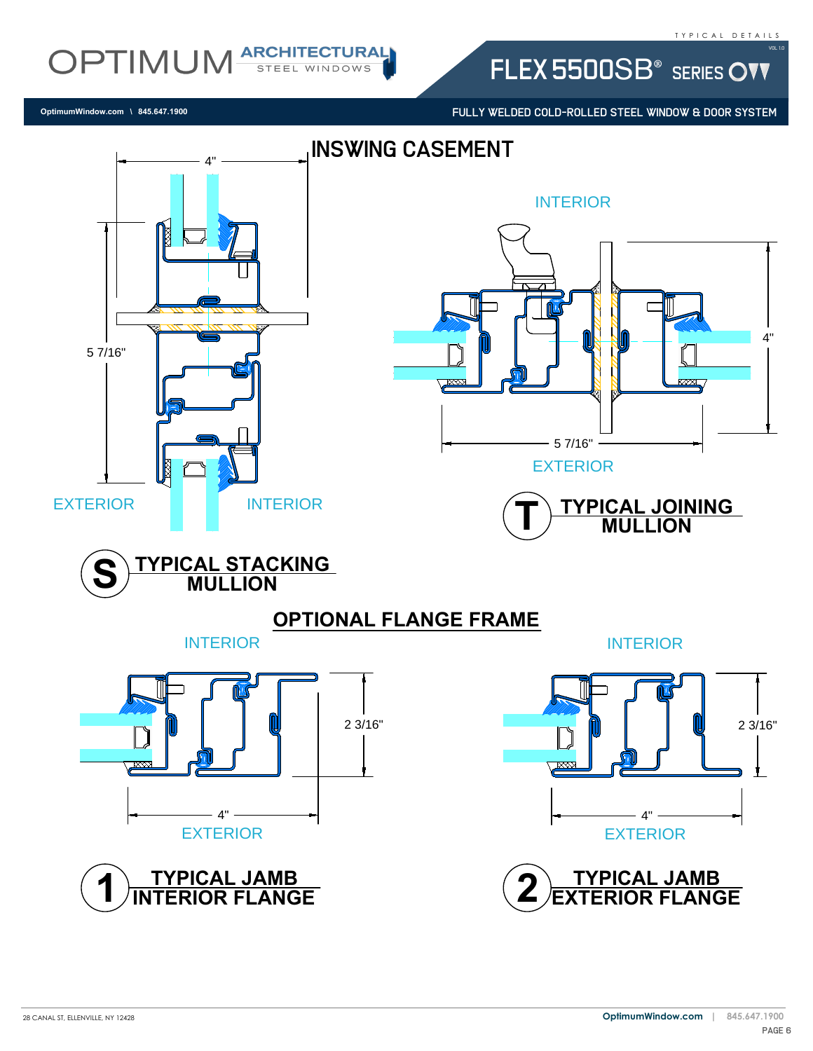FLEX 5500SB<sup>®</sup> SERIES OVV

FULLY WELDED COLD-ROLLED STEEL WINDOW & DOOR SYSTEM

**OptimumWindow.com \ 845.647.1900**

OPTIMUM ARCHITECTURAL